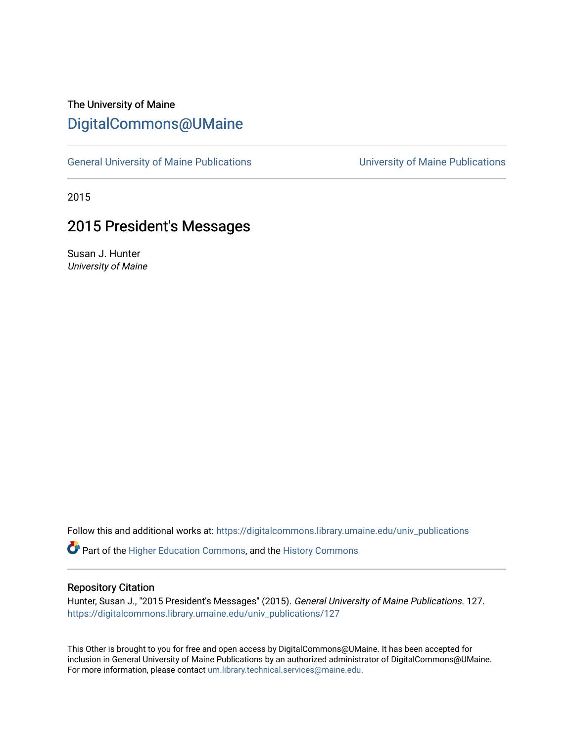## The University of Maine [DigitalCommons@UMaine](https://digitalcommons.library.umaine.edu/)

[General University of Maine Publications](https://digitalcommons.library.umaine.edu/univ_publications) [University of Maine Publications](https://digitalcommons.library.umaine.edu/umaine_publications) 

2015

### 2015 President's Messages

Susan J. Hunter University of Maine

Follow this and additional works at: [https://digitalcommons.library.umaine.edu/univ\\_publications](https://digitalcommons.library.umaine.edu/univ_publications?utm_source=digitalcommons.library.umaine.edu%2Funiv_publications%2F127&utm_medium=PDF&utm_campaign=PDFCoverPages) 

Part of the [Higher Education Commons,](http://network.bepress.com/hgg/discipline/1245?utm_source=digitalcommons.library.umaine.edu%2Funiv_publications%2F127&utm_medium=PDF&utm_campaign=PDFCoverPages) and the [History Commons](http://network.bepress.com/hgg/discipline/489?utm_source=digitalcommons.library.umaine.edu%2Funiv_publications%2F127&utm_medium=PDF&utm_campaign=PDFCoverPages)

#### Repository Citation

Hunter, Susan J., "2015 President's Messages" (2015). General University of Maine Publications. 127. [https://digitalcommons.library.umaine.edu/univ\\_publications/127](https://digitalcommons.library.umaine.edu/univ_publications/127?utm_source=digitalcommons.library.umaine.edu%2Funiv_publications%2F127&utm_medium=PDF&utm_campaign=PDFCoverPages) 

This Other is brought to you for free and open access by DigitalCommons@UMaine. It has been accepted for inclusion in General University of Maine Publications by an authorized administrator of DigitalCommons@UMaine. For more information, please contact [um.library.technical.services@maine.edu](mailto:um.library.technical.services@maine.edu).